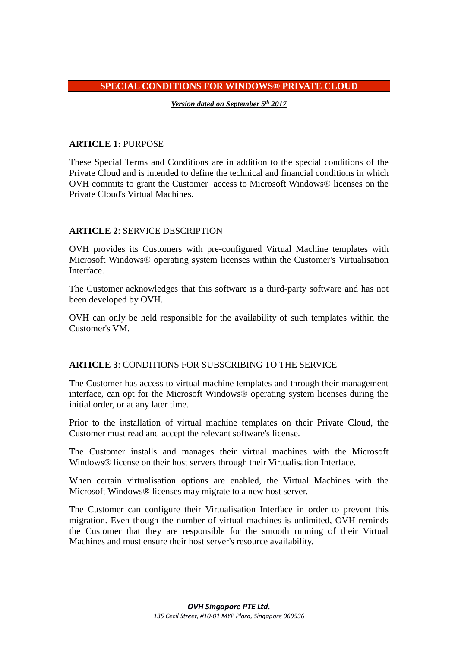#### **SPECIAL CONDITIONS FOR WINDOWS® PRIVATE CLOUD**

*Version dated on September 5th 2017*

# **ARTICLE 1:** PURPOSE

These Special Terms and Conditions are in addition to the special conditions of the Private Cloud and is intended to define the technical and financial conditions in which OVH commits to grant the Customer access to Microsoft Windows® licenses on the Private Cloud's Virtual Machines.

# **ARTICLE 2**: SERVICE DESCRIPTION

OVH provides its Customers with pre-configured Virtual Machine templates with Microsoft Windows® operating system licenses within the Customer's Virtualisation Interface.

The Customer acknowledges that this software is a third-party software and has not been developed by OVH.

OVH can only be held responsible for the availability of such templates within the Customer's VM.

### **ARTICLE 3**: CONDITIONS FOR SUBSCRIBING TO THE SERVICE

The Customer has access to virtual machine templates and through their management interface, can opt for the Microsoft Windows® operating system licenses during the initial order, or at any later time.

Prior to the installation of virtual machine templates on their Private Cloud, the Customer must read and accept the relevant software's license.

The Customer installs and manages their virtual machines with the Microsoft Windows® license on their host servers through their Virtualisation Interface.

When certain virtualisation options are enabled, the Virtual Machines with the Microsoft Windows® licenses may migrate to a new host server.

The Customer can configure their Virtualisation Interface in order to prevent this migration. Even though the number of virtual machines is unlimited, OVH reminds the Customer that they are responsible for the smooth running of their Virtual Machines and must ensure their host server's resource availability.